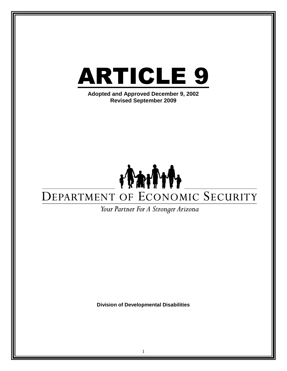

**Division of Developmental Disabilities**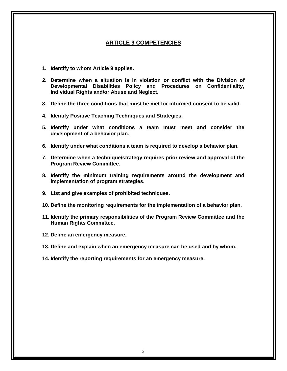### **ARTICLE 9 COMPETENCIES**

- **1. Identify to whom Article 9 applies.**
- **2. Determine when a situation is in violation or conflict with the Division of Developmental Disabilities Policy and Procedures on Confidentiality, Individual Rights and/or Abuse and Neglect.**
- **3. Define the three conditions that must be met for informed consent to be valid.**
- **4. Identify Positive Teaching Techniques and Strategies.**
- **5. Identify under what conditions a team must meet and consider the development of a behavior plan.**
- **6. Identify under what conditions a team is required to develop a behavior plan.**
- **7. Determine when a technique/strategy requires prior review and approval of the Program Review Committee.**
- **8. Identify the minimum training requirements around the development and implementation of program strategies.**
- **9. List and give examples of prohibited techniques.**
- **10. Define the monitoring requirements for the implementation of a behavior plan.**
- **11. Identify the primary responsibilities of the Program Review Committee and the Human Rights Committee.**
- **12. Define an emergency measure.**
- **13. Define and explain when an emergency measure can be used and by whom.**
- **14. Identify the reporting requirements for an emergency measure.**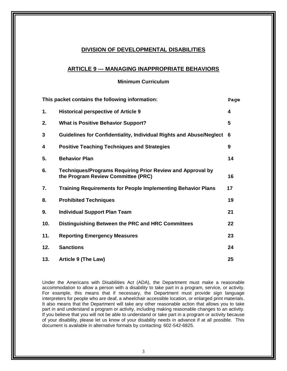### **DIVISION OF DEVELOPMENTAL DISABILITIES**

### **ARTICLE 9 --- MANAGING INAPPROPRIATE BEHAVIORS**

**Minimum Curriculum**

| This packet contains the following information:<br>Page |                                                                                                         |    |  |
|---------------------------------------------------------|---------------------------------------------------------------------------------------------------------|----|--|
| 1.                                                      | <b>Historical perspective of Article 9</b>                                                              | 4  |  |
| 2.                                                      | <b>What is Positive Behavior Support?</b>                                                               | 5  |  |
| 3                                                       | Guidelines for Confidentiality, Individual Rights and Abuse/Neglect                                     | 6  |  |
| 4                                                       | <b>Positive Teaching Techniques and Strategies</b>                                                      | 9  |  |
| 5.                                                      | <b>Behavior Plan</b>                                                                                    | 14 |  |
| 6.                                                      | <b>Techniques/Programs Requiring Prior Review and Approval by</b><br>the Program Review Committee (PRC) | 16 |  |
| 7.                                                      | <b>Training Requirements for People Implementing Behavior Plans</b>                                     | 17 |  |
| 8.                                                      | <b>Prohibited Techniques</b>                                                                            | 19 |  |
| 9.                                                      | <b>Individual Support Plan Team</b>                                                                     | 21 |  |
| 10.                                                     | Distinguishing Between the PRC and HRC Committees                                                       | 22 |  |
| 11.                                                     | <b>Reporting Emergency Measures</b>                                                                     | 23 |  |
| 12.                                                     | <b>Sanctions</b>                                                                                        | 24 |  |
| 13.                                                     | Article 9 (The Law)                                                                                     | 25 |  |

Under the Americans with Disabilities Act (ADA), the Department must make a reasonable accommodation to allow a person with a disability to take part in a program, service, or activity. For example, this means that if necessary, the Department must provide sign language interpreters for people who are deaf, a wheelchair accessible location, or enlarged print materials. It also means that the Department will take any other reasonable action that allows you to take part in and understand a program or activity, including making reasonable changes to an activity. If you believe that you will not be able to understand or take part in a program or activity because of your disability, please let us know of your disability needs in advance if at all possible. This document is available in alternative formats by contacting: 602-542-6825.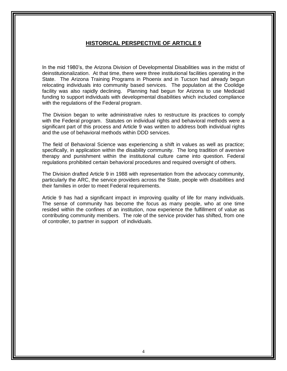## **HISTORICAL PERSPECTIVE OF ARTICLE 9**

In the mid 1980's, the Arizona Division of Developmental Disabilities was in the midst of deinstitutionalization. At that time, there were three institutional facilities operating in the State. The Arizona Training Programs in Phoenix and in Tucson had already begun relocating individuals into community based services. The population at the Coolidge facility was also rapidly declining. Planning had begun for Arizona to use Medicaid funding to support individuals with developmental disabilities which included compliance with the regulations of the Federal program.

The Division began to write administrative rules to restructure its practices to comply with the Federal program. Statutes on individual rights and behavioral methods were a significant part of this process and Article 9 was written to address both individual rights and the use of behavioral methods within DDD services.

The field of Behavioral Science was experiencing a shift in values as well as practice; specifically, in application within the disability community. The long tradition of aversive therapy and punishment within the institutional culture came into question. Federal regulations prohibited certain behavioral procedures and required oversight of others.

The Division drafted Article 9 in 1988 with representation from the advocacy community, particularly the ARC, the service providers across the State, people with disabilities and their families in order to meet Federal requirements.

Article 9 has had a significant impact in improving quality of life for many individuals. The sense of community has become the focus as many people, who at one time resided within the confines of an institution, now experience the fulfillment of value as contributing community members. The role of the service provider has shifted, from one of controller, to partner in support of individuals.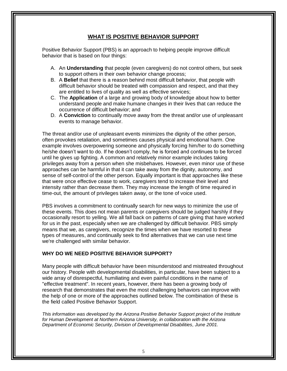# **WHAT IS POSITIVE BEHAVIOR SUPPORT**

Positive Behavior Support (PBS) is an approach to helping people improve difficult behavior that is based on four things:

- A. An **Understanding** that people (even caregivers) do not control others, but seek to support others in their own behavior change process;
- B. A **Belief** that there is a reason behind most difficult behavior, that people with difficult behavior should be treated with compassion and respect, and that they are entitled to lives of quality as well as effective services;
- C. The **Application** of a large and growing body of knowledge about how to better understand people and make humane changes in their lives that can reduce the occurrence of difficult behavior; and
- D. A **Conviction** to continually move away from the threat and/or use of unpleasant events to manage behavior.

The threat and/or use of unpleasant events minimizes the dignity of the other person, often provokes retaliation, and sometimes causes physical and emotional harm. One example involves overpowering someone and physically forcing him/her to do something he/she doesn't want to do. If he doesn't comply, he is forced and continues to be forced until he gives up fighting. A common and relatively minor example includes taking privileges away from a person when she misbehaves. However, even minor use of these approaches can be harmful in that it can take away from the dignity, autonomy, and sense of self-control of the other person. Equally important is that approaches like these that were once effective cease to work, caregivers tend to increase their level and intensity rather than decrease them. They may increase the length of time required in time-out, the amount of privileges taken away, or the tone of voice used.

PBS involves a commitment to continually search for new ways to minimize the use of these events. This does not mean parents or caregivers should be judged harshly if they occasionally resort to yelling. We all fall back on patterns of care giving that have worked for us in the past, especially when we are challenged by difficult behavior. PBS simply means that we, as caregivers, recognize the times when we have resorted to these types of measures, and continually seek to find alternatives that we can use next time we're challenged with similar behavior.

### **WHY DO WE NEED POSITIVE BEHAVIOR SUPPORT?**

Many people with difficult behavior have been misunderstood and mistreated throughout our history. People with developmental disabilities, in particular, have been subject to a wide array of disrespectful, humiliating and even painful conditions in the name of "effective treatment". In recent years, however, there has been a growing body of research that demonstrates that even the most challenging behaviors can improve with the help of one or more of the approaches outlined below. The combination of these is the field called Positive Behavior Support.

*This information was developed by the Arizona Positive Behavior Support project of the Institute for Human Development at Northern Arizona University, in collaboration with the Arizona Department of Economic Security, Division of Developmental Disabilities, June 2001.*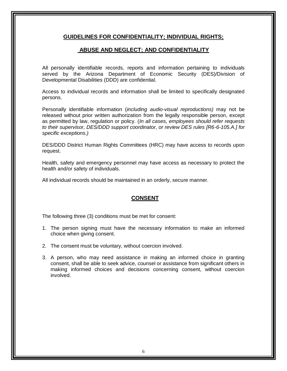### **GUIDELINES FOR CONFIDENTIALITY; INDIVIDUAL RIGHTS;**

## **ABUSE AND NEGLECT; AND CONFIDENTIALITY**

All personally identifiable records, reports and information pertaining to individuals served by the Arizona Department of Economic Security (DES)/Division of Developmental Disabilities (DDD) are confidential.

Access to individual records and information shall be limited to specifically designated persons.

Personally identifiable information (*including audio-visual reproductions)* may not be released without prior written authorization from the legally responsible person, except as permitted by law, regulation or policy. (*In all cases, employees should refer requests to their supervisor, DES/DDD support coordinator, or review DES rules [R6-6-105.A.] for specific exceptions.)*

DES/DDD District Human Rights Committees (HRC) may have access to records upon request.

Health, safety and emergency personnel may have access as necessary to protect the health and/or safety of individuals.

All individual records should be maintained in an orderly, secure manner.

# **CONSENT**

The following three (3) conditions must be met for consent:

- 1. The person signing must have the necessary information to make an informed choice when giving consent.
- 2. The consent must be voluntary, without coercion involved.
- 3. A person, who may need assistance in making an informed choice in granting consent, shall be able to seek advice, counsel or assistance from significant others in making informed choices and decisions concerning consent, without coercion involved.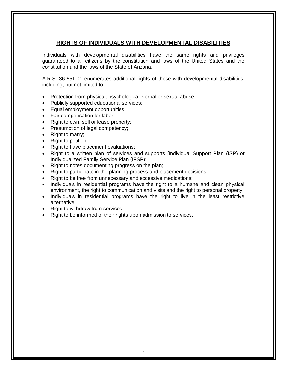## **RIGHTS OF INDIVIDUALS WITH DEVELOPMENTAL DISABILITIES**

Individuals with developmental disabilities have the same rights and privileges guaranteed to all citizens by the constitution and laws of the United States and the constitution and the laws of the State of Arizona.

A.R.S. 36-551.01 enumerates additional rights of those with developmental disabilities, including, but not limited to:

- Protection from physical, psychological, verbal or sexual abuse;
- Publicly supported educational services;
- **Equal employment opportunities;**
- Fair compensation for labor;
- Right to own, sell or lease property;
- Presumption of legal competency;
- Right to marry;
- Right to petition;
- Right to have placement evaluations;
- Right to a written plan of services and supports [Individual Support Plan (ISP) or Individualized Family Service Plan (IFSP);
- Right to notes documenting progress on the plan;
- Right to participate in the planning process and placement decisions;
- Right to be free from unnecessary and excessive medications;
- Individuals in residential programs have the right to a humane and clean physical environment, the right to communication and visits and the right to personal property;
- Individuals in residential programs have the right to live in the least restrictive alternative.
- Right to withdraw from services;
- Right to be informed of their rights upon admission to services.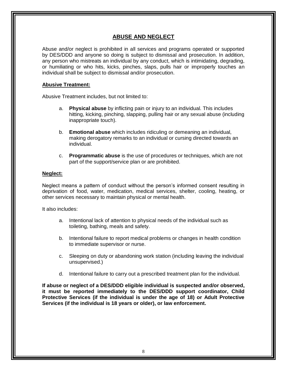## **ABUSE AND NEGLECT**

Abuse and/or neglect is prohibited in all services and programs operated or supported by DES/DDD and anyone so doing is subject to dismissal and prosecution. In addition, any person who mistreats an individual by any conduct, which is intimidating, degrading, or humiliating or who hits, kicks, pinches, slaps, pulls hair or improperly touches an individual shall be subject to dismissal and/or prosecution.

### **Abusive Treatment:**

Abusive Treatment includes, but not limited to:

- a. **Physical abuse** by inflicting pain or injury to an individual. This includes hitting, kicking, pinching, slapping, pulling hair or any sexual abuse (including inappropriate touch).
- b. **Emotional abuse** which includes ridiculing or demeaning an individual, making derogatory remarks to an individual or cursing directed towards an individual.
- c. **Programmatic abuse** is the use of procedures or techniques, which are not part of the support/service plan or are prohibited.

### **Neglect:**

Neglect means a pattern of conduct without the person's informed consent resulting in deprivation of food, water, medication, medical services, shelter, cooling, heating, or other services necessary to maintain physical or mental health.

It also includes:

- a. Intentional lack of attention to physical needs of the individual such as toileting, bathing, meals and safety.
- b. Intentional failure to report medical problems or changes in health condition to immediate supervisor or nurse.
- c. Sleeping on duty or abandoning work station (including leaving the individual unsupervised.)
- d. Intentional failure to carry out a prescribed treatment plan for the individual.

**If abuse or neglect of a DES/DDD eligible individual is suspected and/or observed, it must be reported immediately to the DES/DDD support coordinator, Child Protective Services (if the individual is under the age of 18) or Adult Protective Services (if the individual is 18 years or older), or law enforcement.**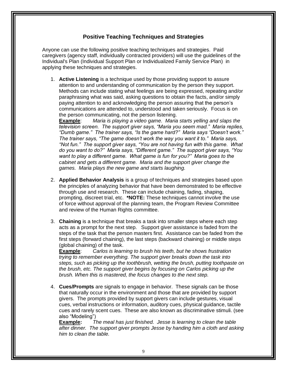## **Positive Teaching Techniques and Strategies**

Anyone can use the following positive teaching techniques and strategies. Paid caregivers (agency staff, individually contracted providers) will use the guidelines of the Individual's Plan (Individual Support Plan or Individualized Family Service Plan) in applying these techniques and strategies.

1. **Active Listening** is a technique used by those providing support to assure attention to and understanding of communication by the person they support. Methods can include stating what feelings are being expressed, repeating and/or paraphrasing what was said, asking questions to obtain the facts, and/or simply paying attention to and acknowledging the person assuring that the person's communications are attended to, understood and taken seriously. Focus is on the person communicating, not the person listening.

**Example**: *Maria is playing a video game. Maria starts yelling and slaps the television screen. The support giver says, "Maria you seem mad." Maria replies, "Dumb game." The trainer says, "Is the game hard?" Maria says "Doesn't work." The trainer says, "The game doesn't work the way you want it to." Maria says, "Not fun." The support giver says, "You are not having fun with this game. What do you want to do?" Maria says, "Different game." The support giver says, "You want to play a different game. What game is fun for you?" Maria goes to the cabinet and gets a different game. Maria and the support giver change the games. Maria plays the new game and starts laughing.*

- 2. **Applied Behavior Analysis** is a group of techniques and strategies based upon the principles of analyzing behavior that have been demonstrated to be effective through use and research. These can include chaining, fading, shaping, prompting, discreet trial, etc. **\*NOTE:** These techniques cannot involve the use of force without approval of the planning team, the Program Review Committee and review of the Human Rights committee.
- 3. **Chaining** is a technique that breaks a task into smaller steps where each step acts as a prompt for the next step. Support giver assistance is faded from the steps of the task that the person masters first. Assistance can be faded from the first steps (forward chaining), the last steps (backward chaining) or middle steps (global chaining) of the task.

**Example**: *Carlos is learning to brush his teeth, but he shows frustration trying to remember everything. The support giver breaks down the task into steps, such as picking up the toothbrush, wetting the brush, putting toothpaste on the brush, etc. The support giver begins by focusing on Carlos picking up the brush. When this is mastered, the focus changes to the next step.*

4. **Cues/Prompts** are signals to engage in behavior. These signals can be those that naturally occur in the environment and those that are provided by support givers. The prompts provided by support givers can include gestures, visual cues, verbal instructions or information, auditory cues, physical guidance, tactile cues and rarely scent cues. These are also known as discriminative stimuli. (see also "Modeling")

**Example:** *The meal has just finished. Jesse is learning to clean the table after dinner. The support giver prompts Jesse by handing him a cloth and asking him to clean the table.*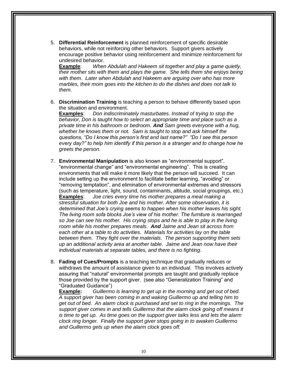5. **Differential Reinforcement** is planned reinforcement of specific desirable behaviors, while not reinforcing other behaviors. Support givers actively encourage positive behavior using reinforcement and minimize reinforcement for undesired behavior.

**Example**: *When Abdulah and Hakeem sit together and play a game quietly, their mother sits with them and plays the game. She tells them she enjoys being with them. Later when Abdulah and Hakeem are arguing over who has more marbles, their mom goes into the kitchen to do the dishes and does not talk to them.*

6. **Discrimination Training** is teaching a person to behave differently based upon the situation and environment.

**Examples**: *Don indiscriminately masturbates. Instead of trying to stop the behavior, Don is taught how to select an appropriate time and place such as a private time in his bathroom or bedroom. And Sam greets everyone with a hug, whether he knows them or not. Sam is taught to stop and ask himself the questions, "Do I know this person's first and last name?" "Do I see this person every day?" to help him identify if this person is a stranger and to change how he greets the person.*

- 7. **Environmental Manipulation** is also known as "environmental support", "environmental change" and "environmental engineering". This is creating environments that will make it more likely that the person will succeed. It can include setting up the environment to facilitate better learning, "avoiding" or "removing temptation", and elimination of environmental extremes and stressors (such as temperature, light, sound, contaminants, altitude, social groupings, etc.) **Examples**: *Joe cries every time his mother prepares a meal making a stressful situation for both Joe and his mother. After some observation, it is determined that Joe's crying seems to happen when his mother leaves his sight. The living room sofa blocks Joe's view of his mother. The furniture is rearranged so Joe can see his mother. His crying stops and he is able to play in the living room while his mother prepares meals. And Jaime and Jean sit across from each other at a table to do activities. Materials for activities lay on the table between them. They fight over the materials. The person supporting them sets up an additional activity area at another table. Jaime and Jean now have their individual materials at separate tables, and there is no fighting.*
- 8. **Fading of Cues/Prompts** is a teaching technique that gradually reduces or withdraws the amount of assistance given to an individual. This involves actively assuring that "natural" environmental prompts are taught and gradually replace those provided by the support giver. (see also "Generalization Training" and "Graduated Guidance")

**Example:** *Guillermo is learning to get up in the morning and get out of bed. A support giver has been coming in and waking Guillermo up and telling him to get out of bed. An alarm clock is purchased and set to ring in the mornings. The support giver comes in and tells Guillermo that the alarm clock going off means it is time to get up. As time goes on the support giver talks less and lets the alarm clock ring longer. Finally the support giver stops going in to awaken Guillermo and Guillermo gets up when the alarm clock goes off.*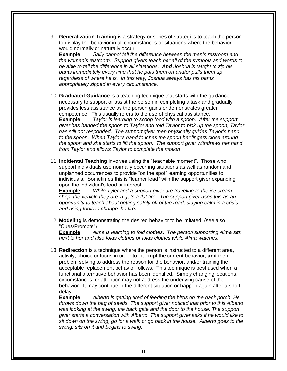9. **Generalization Training** is a strategy or series of strategies to teach the person to display the behavior in all circumstances or situations where the behavior would normally or naturally occur.

**Example**: *Sally cannot tell the difference between the men's restroom and the women's restroom. Support givers teach her all of the symbols and words to be able to tell the difference in all situations. And Joshua is taught to zip his pants immediately every time that he puts them on and/or pulls them up regardless of where he is. In this way, Joshua always has his pants appropriately zipped in every circumstance.*

10. **Graduated Guidance** is a teaching technique that starts with the guidance necessary to support or assist the person in completing a task and gradually provides less assistance as the person gains or demonstrates greater competence. This usually refers to the use of physical assistance.

**Example**: *Taylor is learning to scoop food with a spoon. After the support giver has handed the spoon to Taylor and told Taylor to pick up the spoon, Taylor has still not responded. The support giver then physically guides Taylor's hand to the spoon. When Taylor's hand touches the spoon her fingers close around the spoon and she starts to lift the spoon. The support giver withdraws her hand from Taylor and allows Taylor to complete the motion*.

11. **Incidental Teaching** involves using the "teachable moment". Those who support individuals use normally occurring situations as well as random and unplanned occurrences to provide "on the spot" learning opportunities to individuals. Sometimes this is "learner lead" with the support giver expanding upon the individual's lead or interest.

**Example**: *While Tyler and a support giver are traveling to the ice cream shop, the vehicle they are in gets a flat tire. The support giver uses this as an opportunity to teach about getting safely off of the road, staying calm in a crisis and using tools to change the tire.*

12. **Modeling** is demonstrating the desired behavior to be imitated. (see also "Cues/Prompts")

**Example**: *Alma is learning to fold clothes. The person supporting Alma sits next to her and also folds clothes or folds clothes while Alma watches.*

13. **Redirection** is a technique where the person is instructed to a different area, activity, choice or focus in order to interrupt the current behavior, **and** then problem solving to address the reason for the behavior, and/or training the acceptable replacement behavior follows. This technique is best used when a functional alternative behavior has been identified. Simply changing locations, circumstances, or attention may not address the underlying cause of the behavior. It may continue in the different situation or happen again after a short delay.

**Example**: *Alberto is getting tired of feeding the birds on the back porch. He throws down the bag of seeds. The support giver noticed that prior to this Alberto*  was looking at the swing, the back gate and the door to the house. The support *giver starts a conversation with Alberto. The support giver asks if he would like to sit down on the swing, go for a walk or go back in the house. Alberto goes to the swing, sits on it and begins to swing.*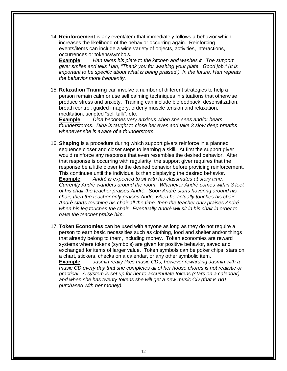14. **Reinforcement** is any event/item that immediately follows a behavior which increases the likelihood of the behavior occurring again. Reinforcing events/items can include a wide variety of objects, activities, interactions, occurrences or tokens/symbols.

**Example**: *Han takes his plate to the kitchen and washes it. The support giver smiles and tells Han, "Thank you for washing your plate. Good job." (It is important to be specific about what is being praised.) In the future, Han repeats the behavior more frequently.*

15. **Relaxation Training** can involve a number of different strategies to help a person remain calm or use self calming techniques in situations that otherwise produce stress and anxiety. Training can include biofeedback, desensitization, breath control, guided imagery, orderly muscle tension and relaxation, meditation, scripted "self talk", etc.

**Example**: *Dina becomes very anxious when she sees and/or hears thunderstorms. Dina is taught to close her eyes and take 3 slow deep breaths whenever she is aware of a thunderstorm.*

16. **Shaping** is a procedure during which support givers reinforce in a planned sequence closer and closer steps to learning a skill. At first the support giver would reinforce any response that even resembles the desired behavior. After that response is occurring with regularity, the support giver requires that the response be a little closer to the desired behavior before providing reinforcement. This continues until the individual is then displaying the desired behavior.

**Example**: *Andrè is expected to sit with his classmates at story time. Currently Andrè wanders around the room. Whenever Andrè comes within 3 feet of his chair the teacher praises Andrè. Soon Andrè starts hovering around his chair; then the teacher only praises Andrè when he actually touches his chair. Andrè starts touching his chair all the time, then the teacher only praises André when his leg touches the chair. Eventually Andrè will sit in his chair in order to have the teacher praise him.*

17. **Token Economies** can be used with anyone as long as they do not require a person to earn basic necessities such as clothing, food and shelter and/or things that already belong to them, including money. Token economies are reward systems where tokens (symbols) are given for positive behavior, saved and exchanged for items of larger value. Token symbols can be poker chips, stars on a chart, stickers, checks on a calendar, or any other symbolic item.

**Example**: *Jasmin really likes music CDs, however rewarding Jasmin with a music CD every day that she completes all of her house chores is not realistic or practical. A system is set up for her to accumulate tokens (stars on a calendar) and when she has twenty tokens she will get a new music CD (that is not purchased with her money).*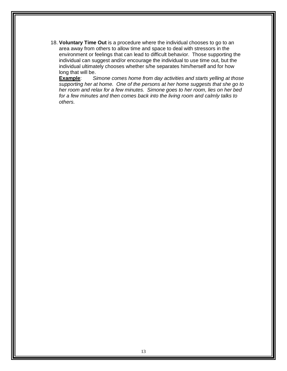18. **Voluntary Time Out** is a procedure where the individual chooses to go to an area away from others to allow time and space to deal with stressors in the environment or feelings that can lead to difficult behavior. Those supporting the individual can suggest and/or encourage the individual to use time out, but the individual ultimately chooses whether s/he separates him/herself and for how long that will be.

**Example**: *Simone comes home from day activities and starts yelling at those supporting her at home. One of the persons at her home suggests that she go to her room and relax for a few minutes. Simone goes to her room, lies on her bed for a few minutes and then comes back into the living room and calmly talks to others.*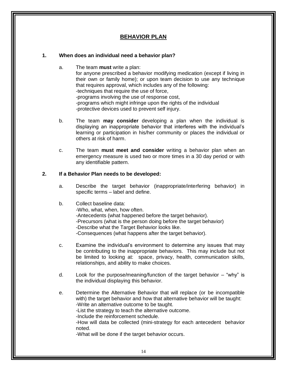## **BEHAVIOR PLAN**

#### **1. When does an individual need a behavior plan?**

- a. The team **must** write a plan: for anyone prescribed a behavior modifying medication (except if living in their own or family home); or upon team decision to use any technique that requires approval, which includes any of the following: -techniques that require the use of force, -programs involving the use of response cost, -programs which might infringe upon the rights of the individual -protective devices used to prevent self injury.
- b. The team **may consider** developing a plan when the individual is displaying an inappropriate behavior that interferes with the individual's learning or participation in his/her community or places the individual or others at risk of harm.
- c. The team **must meet and consider** writing a behavior plan when an emergency measure is used two or more times in a 30 day period or with any identifiable pattern.

#### **2. If a Behavior Plan needs to be developed:**

a. Describe the target behavior (inappropriate/interfering behavior) in specific terms – label and define.

### b. Collect baseline data:

-Who, what, when, how often. -Antecedents (what happened before the target behavior). -Precursors (what is the person doing before the target behavior) -Describe what the Target Behavior looks like. -Consequences (what happens after the target behavior).

- c. Examine the individual's environment to determine any issues that may be contributing to the inappropriate behaviors. This may include but not be limited to looking at: space, privacy, health, communication skills, relationships, and ability to make choices.
- d. Look for the purpose/meaning/function of the target behavior "why" is the individual displaying this behavior.
- e. Determine the Alternative Behavior that will replace (or be incompatible with) the target behavior and how that alternative behavior will be taught: -Write an alternative outcome to be taught.

-List the strategy to teach the alternative outcome.

-Include the reinforcement schedule.

-How will data be collected (mini-strategy for each antecedent behavior noted.

-What will be done if the target behavior occurs.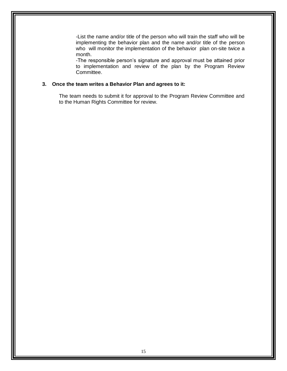-List the name and/or title of the person who will train the staff who will be implementing the behavior plan and the name and/or title of the person who will monitor the implementation of the behavior plan on-site twice a month.

-The responsible person's signature and approval must be attained prior to implementation and review of the plan by the Program Review Committee.

#### **3. Once the team writes a Behavior Plan and agrees to it:**

The team needs to submit it for approval to the Program Review Committee and to the Human Rights Committee for review.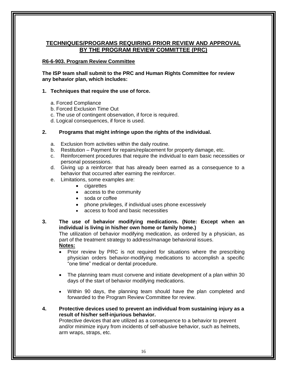## **TECHNIQUES/PROGRAMS REQUIRING PRIOR REVIEW AND APPROVAL BY THE PROGRAM REVIEW COMMITTEE (PRC)**

### **R6-6-903. Program Review Committee**

**The ISP team shall submit to the PRC and Human Rights Committee for review any behavior plan, which includes:**

#### **1. Techniques that require the use of force.**

- a. Forced Compliance
- b. Forced Exclusion Time Out
- c. The use of contingent observation, if force is required.
- d. Logical consequences, if force is used.

#### **2. Programs that might infringe upon the rights of the individual.**

- a. Exclusion from activities within the daily routine.
- b. Restitution Payment for repairs/replacement for property damage, etc.
- c. Reinforcement procedures that require the individual to earn basic necessities or personal possessions.
- d. Giving up a reinforcer that has already been earned as a consequence to a behavior that occurred after earning the reinforcer.
- e. Limitations, some examples are:
	- cigarettes
	- access to the community
	- soda or coffee
	- phone privileges, if individual uses phone excessively
	- access to food and basic necessities

**3. The use of behavior modifying medications. (Note: Except when an individual is living in his/her own home or family home.)** The utilization of behavior modifying medication, as ordered by a physician, as

part of the treatment strategy to address/manage behavioral issues.

### **Notes:**

- Prior review by PRC is not required for situations where the prescribing physician orders behavior-modifying medications to accomplish a specific "one time" medical or dental procedure.
- The planning team must convene and initiate development of a plan within 30 days of the start of behavior modifying medications.
- Within 90 days, the planning team should have the plan completed and forwarded to the Program Review Committee for review.
- **4. Protective devices used to prevent an individual from sustaining injury as a result of his/her self-injurious behavior.**

Protective devices that are utilized as a consequence to a behavior to prevent and/or minimize injury from incidents of self-abusive behavior, such as helmets, arm wraps, straps, etc.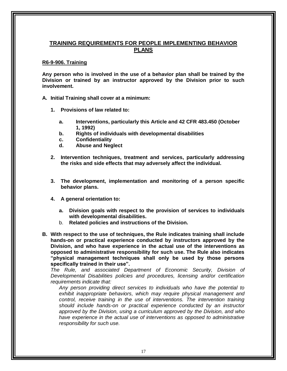### **TRAINING REQUIREMENTS FOR PEOPLE IMPLEMENTING BEHAVIOR PLANS**

#### **R6-9-906. Training**

**Any person who is involved in the use of a behavior plan shall be trained by the Division or trained by an instructor approved by the Division prior to such involvement.**

**A. Initial Training shall cover at a minimum:**

- **1. Provisions of law related to:**
	- **a. Interventions, particularly this Article and 42 CFR 483.450 (October 1, 1992)**
	- **b. Rights of individuals with developmental disabilities**
	- **c. Confidentiality**
	- **d. Abuse and Neglect**
- **2. Intervention techniques, treatment and services, particularly addressing the risks and side effects that may adversely affect the individual.**
- **3. The development, implementation and monitoring of a person specific behavior plans.**
- **4. A general orientation to:**
	- **a. Division goals with respect to the provision of services to individuals with developmental disabilities.**
	- b. **Related policies and instructions of the Division.**
- **B. With respect to the use of techniques, the Rule indicates training shall include hands-on or practical experience conducted by instructors approved by the Division, and who have experience in the actual use of the interventions as opposed to administrative responsibility for such use. The Rule also indicates "physical management techniques shall only be used by those persons specifically trained in their use".**

*The Rule, and associated Department of Economic Security, Division of Developmental Disabilities policies and procedures, licensing and/or certification requirements indicate that:*

*Any person providing direct services to individuals who have the potential to exhibit inappropriate behaviors, which may require physical management and control, receive training in the use of interventions. The intervention training should include hands-on or practical experience conducted by an instructor approved by the Division, using a curriculum approved by the Division, and who have experience in the actual use of interventions as opposed to administrative responsibility for such use.*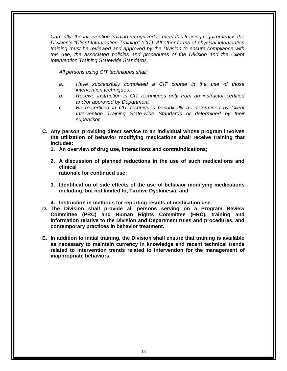*Currently, the intervention training recognized to meet this training requirement is the Division's "Client Intervention Training" (CIT). All other forms of physical intervention training must be reviewed and approved by the Division to ensure compliance with this rule, the associated policies and procedures of the Division and the Client Intervention Training Statewide Standards.*

*All persons using CIT techniques shall:*

- *a. Have successfully completed a CIT course in the use of those intervention techniques.*
- *b. Receive instruction in CIT techniques only from an instructor certified and/or approved by Department.*
- *c. Be re-certified in CIT techniques periodically as determined by Client Intervention Training State-wide Standards or determined by their supervisor.*
- **C. Any person providing direct service to an individual whose program involves the utilization of behavior modifying medications shall receive training that includes:**
	- **1. An overview of drug use, interactions and contraindications;**
	- **2. A discussion of planned reductions in the use of such medications and clinical rationale for continued use;**
	- **3. Identification of side effects of the use of behavior modifying medications including, but not limited to, Tardive Dyskinesia; and**
	- **4. Instruction in methods for reporting results of medication use.**
- **D. The Division shall provide all persons serving on a Program Review Committee (PRC) and Human Rights Committee (HRC), training and information relative to the Division and Department rules and procedures, and contemporary practices in behavior treatment.**
- **E. In addition to initial training, the Division shall ensure that training is available as necessary to maintain currency in knowledge and recent technical trends related to intervention trends related to intervention for the management of inappropriate behaviors.**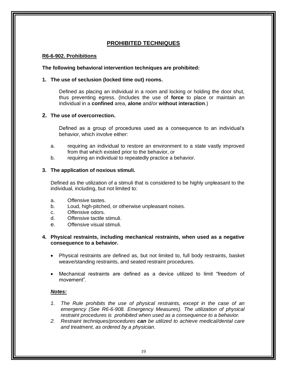# **PROHIBITED TECHNIQUES**

#### **R6-6-902. Prohibitions**

#### **The following behavioral intervention techniques are prohibited:**

#### **1. The use of seclusion (locked time out) rooms.**

Defined as placing an individual in a room and locking or holding the door shut, thus preventing egress. (Includes the use of **force** to place or maintain an individual in a **confined** area, **alone** and/or **without interaction**.)

### **2. The use of overcorrection.**

Defined as a group of procedures used as a consequence to an individual's behavior, which involve either:

- a. requiring an individual to restore an environment to a state vastly improved from that which existed prior to the behavior, or
- b. requiring an individual to repeatedly practice a behavior.

#### **3. The application of noxious stimuli.**

Defined as the utilization of a stimuli that is considered to be highly unpleasant to the individual, including, but not limited to:

- a. Offensive tastes.
- b. Loud, high-pitched, or otherwise unpleasant noises.
- c. Offensive odors.
- d. Offensive tactile stimuli.
- e. Offensive visual stimuli.

#### **4. Physical restraints, including mechanical restraints, when used as a negative consequence to a behavior.**

- Physical restraints are defined as, but not limited to, full body restraints, basket weave/standing restraints, and seated restraint procedures.
- Mechanical restraints are defined as a device utilized to limit "freedom of movement".

#### *Notes:*

- *1. The Rule prohibits the use of physical restraints, except in the case of an emergency (See R6-6-908. Emergency Measures). The utilization of physical restraint procedures is prohibited when used as a consequence to a behavior.*
- *2. Restraint techniques/procedures can be utilized to achieve medical/dental care and treatment, as ordered by a physician.*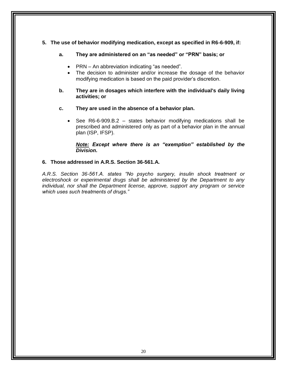### **5. The use of behavior modifying medication, except as specified in R6-6-909, if:**

- **a. They are administered on an "as needed" or "PRN" basis; or**
	- PRN An abbreviation indicating "as needed".
	- The decision to administer and/or increase the dosage of the behavior modifying medication is based on the paid provider's discretion.
- **b. They are in dosages which interfere with the individual's daily living activities; or**
- **c. They are used in the absence of a behavior plan.**
	- See R6-6-909.B.2 states behavior modifying medications shall be prescribed and administered only as part of a behavior plan in the annual plan (ISP, IFSP).

*Note: Except where there is an "exemption" established by the Division.*

### **6. Those addressed in A.R.S. Section 36-561.A.**

*A.R.S. Section 36-561.A. states "No psycho surgery, insulin shock treatment or electroshock or experimental drugs shall be administered by the Department to any individual, nor shall the Department license, approve, support any program or service which uses such treatments of drugs."*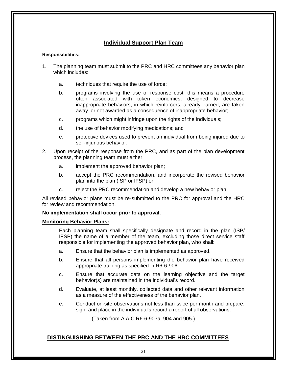# **Individual Support Plan Team**

#### **Responsibilities:**

- 1. The planning team must submit to the PRC and HRC committees any behavior plan which includes:
	- a. techniques that require the use of force;
	- b. programs involving the use of response cost; this means a procedure often associated with token economies, designed to decrease inappropriate behaviors, in which reinforcers, already earned, are taken away or not awarded as a consequence of inappropriate behavior;
	- c. programs which might infringe upon the rights of the individuals;
	- d. the use of behavior modifying medications; and
	- e. protective devices used to prevent an individual from being injured due to self-injurious behavior.
- 2. Upon receipt of the response from the PRC, and as part of the plan development process, the planning team must either:
	- a. implement the approved behavior plan;
	- b. accept the PRC recommendation, and incorporate the revised behavior plan into the plan (ISP or IFSP) or
	- c. reject the PRC recommendation and develop a new behavior plan.

All revised behavior plans must be re-submitted to the PRC for approval and the HRC for review and recommendation.

### **No implementation shall occur prior to approval.**

#### **Monitoring Behavior Plans:**

Each planning team shall specifically designate and record in the plan (ISP/ IFSP) the name of a member of the team, excluding those direct service staff responsible for implementing the approved behavior plan, who shall:

- a. Ensure that the behavior plan is implemented as approved.
- b. Ensure that all persons implementing the behavior plan have received appropriate training as specified in R6-6-906.
- c. Ensure that accurate data on the learning objective and the target behavior(s) are maintained in the individual's record.
- d. Evaluate, at least monthly, collected data and other relevant information as a measure of the effectiveness of the behavior plan.
- e. Conduct on-site observations not less than twice per month and prepare, sign, and place in the individual's record a report of all observations.

(Taken from A.A.C R6-6-903a, 904 and 905.)

### **DISTINGUISHING BETWEEN THE PRC AND THE HRC COMMITTEES**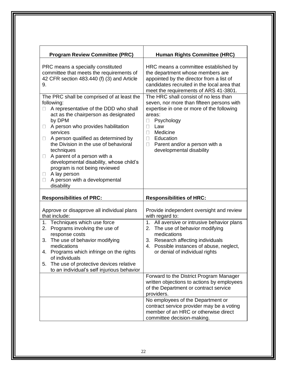| <b>Program Review Committee (PRC)</b>                                                                                                                                                                                                                                                                                                                                                                                                                                                                                      | <b>Human Rights Committee (HRC)</b>                                                                                                                                                                                                                                                           |  |
|----------------------------------------------------------------------------------------------------------------------------------------------------------------------------------------------------------------------------------------------------------------------------------------------------------------------------------------------------------------------------------------------------------------------------------------------------------------------------------------------------------------------------|-----------------------------------------------------------------------------------------------------------------------------------------------------------------------------------------------------------------------------------------------------------------------------------------------|--|
| PRC means a specially constituted<br>committee that meets the requirements of<br>42 CFR section 483.440 (f) (3) and Article<br>9.                                                                                                                                                                                                                                                                                                                                                                                          | HRC means a committee established by<br>the department whose members are<br>appointed by the director from a list of<br>candidates recruited in the local area that<br>meet the requirements of ARS 41-3801.                                                                                  |  |
| The PRC shall be comprised of at least the<br>following:<br>A representative of the DDD who shall<br>0<br>act as the chairperson as designated<br>by DPM<br>A person who provides habilitation<br>U<br>services<br>A person qualified as determined by<br>$\Box$<br>the Division in the use of behavioral<br>techniques<br>A parent of a person with a<br>$\Box$<br>developmental disability, whose child's<br>program is not being reviewed<br>A lay person<br>U<br>A person with a developmental<br>$\Box$<br>disability | The HRC shall consist of no less than<br>seven, nor more than fifteen persons with<br>expertise in one or more of the following<br>areas:<br>Psychology<br>$\mathbf{L}$<br>Law<br>П<br>Medicine<br>П<br>Education<br>П<br>Parent and/or a person with a<br>$\Box$<br>developmental disability |  |
| <b>Responsibilities of PRC:</b>                                                                                                                                                                                                                                                                                                                                                                                                                                                                                            | <b>Responsibilities of HRC:</b>                                                                                                                                                                                                                                                               |  |
| Approve or disapprove all individual plans<br>that include:                                                                                                                                                                                                                                                                                                                                                                                                                                                                | Provide independent oversight and review<br>with regard to:                                                                                                                                                                                                                                   |  |
| 1. Techniques which use force<br>Programs involving the use of<br>2.<br>response costs<br>3. The use of behavior modifying<br>medications<br>4. Programs which infringe on the rights<br>of individuals<br>The use of protective devices relative<br>5.<br>to an individual's self injurious behavior                                                                                                                                                                                                                      | 1. All aversive or intrusive behavior plans<br>2. The use of behavior modifying<br>medications<br>3. Research affecting individuals<br>4. Possible instances of abuse, neglect,<br>or denial of individual rights                                                                             |  |
|                                                                                                                                                                                                                                                                                                                                                                                                                                                                                                                            | Forward to the District Program Manager<br>written objections to actions by employees<br>of the Department or contract service<br>providers.                                                                                                                                                  |  |
|                                                                                                                                                                                                                                                                                                                                                                                                                                                                                                                            | No employees of the Department or<br>contract service provider may be a voting<br>member of an HRC or otherwise direct<br>committee decision-making.                                                                                                                                          |  |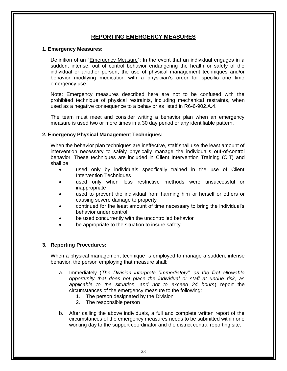## **REPORTING EMERGENCY MEASURES**

#### **1. Emergency Measures:**

Definition of an "Emergency Measure": In the event that an individual engages in a sudden, intense, out of control behavior endangering the health or safety of the individual or another person, the use of physical management techniques and/or behavior modifying medication with a physician's order for specific one time emergency use.

Note: Emergency measures described here are not to be confused with the prohibited technique of physical restraints, including mechanical restraints, when used as a negative consequence to a behavior as listed in R6-6-902.A.4.

The team must meet and consider writing a behavior plan when an emergency measure is used two or more times in a 30 day period or any identifiable pattern.

#### **2. Emergency Physical Management Techniques:**

When the behavior plan techniques are ineffective, staff shall use the least amount of intervention necessary to safely physically manage the individual's out-of-control behavior. These techniques are included in Client Intervention Training (CIT) and shall be:

- used only by individuals specifically trained in the use of Client Intervention Techniques
- used only when less restrictive methods were unsuccessful or inappropriate
- used to prevent the individual from harming him or herself or others or causing severe damage to property
- continued for the least amount of time necessary to bring the individual's behavior under control
- be used concurrently with the uncontrolled behavior
- be appropriate to the situation to insure safety

#### **3. Reporting Procedures:**

When a physical management technique is employed to manage a sudden, intense behavior, the person employing that measure shall:

- a. Immediately (*The Division interprets "immediately", as the first allowable opportunity that does not place the individual or staff at undue risk, as applicable to the situation, and not to exceed 24 hours*) report the circumstances of the emergency measure to the following:
	- 1. The person designated by the Division
	- 2. The responsible person
- b. After calling the above individuals, a full and complete written report of the circumstances of the emergency measures needs to be submitted within one working day to the support coordinator and the district central reporting site.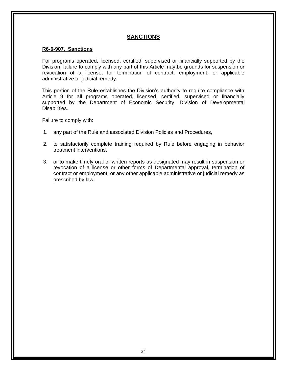## **SANCTIONS**

#### **R6-6-907. Sanctions**

For programs operated, licensed, certified, supervised or financially supported by the Division, failure to comply with any part of this Article may be grounds for suspension or revocation of a license, for termination of contract, employment, or applicable administrative or judicial remedy.

This portion of the Rule establishes the Division's authority to require compliance with Article 9 for all programs operated, licensed, certified, supervised or financially supported by the Department of Economic Security, Division of Developmental Disabilities.

Failure to comply with:

- 1. any part of the Rule and associated Division Policies and Procedures,
- 2. to satisfactorily complete training required by Rule before engaging in behavior treatment interventions,
- 3. or to make timely oral or written reports as designated may result in suspension or revocation of a license or other forms of Departmental approval, termination of contract or employment, or any other applicable administrative or judicial remedy as prescribed by law.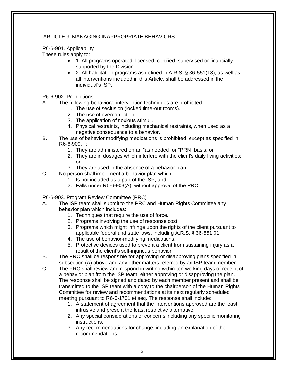### ARTICLE 9. MANAGING INAPPROPRIATE BEHAVIORS

### R6-6-901. Applicability

These rules apply to:

- 1. All programs operated, licensed, certified, supervised or financially supported by the Division.
- 2. All habilitation programs as defined in A.R.S. § 36-551(18), as well as all interventions included in this Article, shall be addressed in the individual's ISP.
- R6-6-902. Prohibitions
- A. The following behavioral intervention techniques are prohibited:
	- 1. The use of seclusion (locked time-out rooms).
	- 2. The use of overcorrection.
	- 3. The application of noxious stimuli.
	- 4. Physical restraints, including mechanical restraints, when used as a negative consequence to a behavior.
- B. The use of behavior modifying medications is prohibited, except as specified in R6-6-909, if:
	- 1. They are administered on an "as needed" or "PRN" basis; or
	- 2. They are in dosages which interfere with the client's daily living activities;
		- or
	- 3. They are used in the absence of a behavior plan.
- C. No person shall implement a behavior plan which:
	- 1. Is not included as a part of the ISP; and
	- 2. Falls under R6-6-903(A), without approval of the PRC.

R6-6-903. Program Review Committee (PRC)

- A. The ISP team shall submit to the PRC and Human Rights Committee any behavior plan which includes:
	- 1. Techniques that require the use of force.
	- 2. Programs involving the use of response cost.
	- 3. Programs which might infringe upon the rights of the client pursuant to applicable federal and state laws, including A.R.S. § 36-551.01.
	- 4. The use of behavior-modifying medications.
	- 5. Protective devices used to prevent a client from sustaining injury as a result of the client's self-injurious behavior.
- B. The PRC shall be responsible for approving or disapproving plans specified in subsection (A) above and any other matters referred by an ISP team member.
- C. The PRC shall review and respond in writing within ten working days of receipt of a behavior plan from the ISP team, either approving or disapproving the plan. The response shall be signed and dated by each member present and shall be transmitted to the ISP team with a copy to the chairperson of the Human Rights Committee for review and recommendations at its next regularly scheduled meeting pursuant to R6-6-1701 et seq. The response shall include:
	- 1. A statement of agreement that the interventions approved are the least intrusive and present the least restrictive alternative.
	- 2. Any special considerations or concerns including any specific monitoring instructions.
	- 3. Any recommendations for change, including an explanation of the recommendations.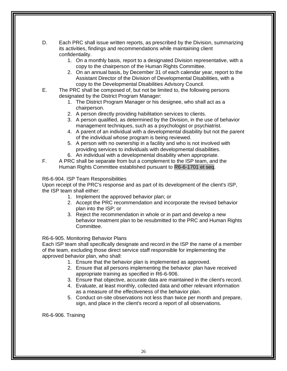- D. Each PRC shall issue written reports, as prescribed by the Division, summarizing its activities, findings and recommendations while maintaining client confidentiality.
	- 1. On a monthly basis, report to a designated Division representative, with a copy to the chairperson of the Human Rights Committee.
	- 2. On an annual basis, by December 31 of each calendar year, report to the Assistant Director of the Division of Developmental Disabilities, with a copy to the Developmental Disabilities Advisory Council.
- E. The PRC shall be composed of, but not be limited to, the following persons designated by the District Program Manager:
	- 1. The District Program Manager or his designee, who shall act as a chairperson.
	- 2. A person directly providing habilitation services to clients.
	- 3. A person qualified, as determined by the Division, in the use of behavior management techniques, such as a psychologist or psychiatrist.
	- 4. A parent of an individual with a developmental disability but not the parent of the individual whose program is being reviewed.
	- 5. A person with no ownership in a facility and who is not involved with providing services to individuals with developmental disabilities.
	- 6. An individual with a developmental disability when appropriate.
- F. A PRC shall be separate from but a complement to the ISP team, and the Human Rights Committee established pursuant to R6-6-1701 et seq.

### R6-6-904. ISP Team Responsibilities

Upon receipt of the PRC's response and as part of its development of the client's ISP, the ISP team shall either:

- 1. Implement the approved behavior plan; or
- 2. Accept the PRC recommendation and incorporate the revised behavior plan into the ISP; or
- 3. Reject the recommendation in whole or in part and develop a new behavior treatment plan to be resubmitted to the PRC and Human Rights Committee.

### R6-6-905. Monitoring Behavior Plans

Each ISP team shall specifically designate and record in the ISP the name of a member of the team, excluding those direct service staff responsible for implementing the approved behavior plan, who shall:

- 1. Ensure that the behavior plan is implemented as approved.
- 2. Ensure that all persons implementing the behavior plan have received appropriate training as specified in R6-6-906.
- 3. Ensure that objective, accurate data are maintained in the client's record.
- 4. Evaluate, at least monthly, collected data and other relevant information as a measure of the effectiveness of the behavior plan.
- 5. Conduct on-site observations not less than twice per month and prepare, sign, and place in the client's record a report of all observations.

R6-6-906. Training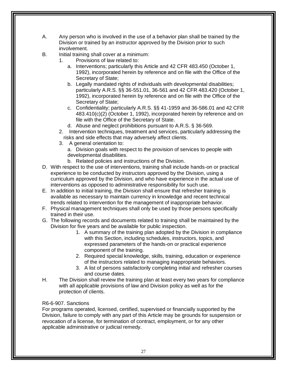- A. Any person who is involved in the use of a behavior plan shall be trained by the Division or trained by an instructor approved by the Division prior to such involvement.
- B. Initial training shall cover at a minimum:
	- 1. Provisions of law related to:
		- a. Interventions; particularly this Article and 42 CFR 483.450 (October 1, 1992), incorporated herein by reference and on file with the Office of the Secretary of State;
		- b. Legally mandated rights of individuals with developmental disabilities; particularly A.R.S. §§ 36-551.01, 36-561 and 42 CFR 483.420 (October 1, 1992), incorporated herein by reference and on file with the Office of the Secretary of State;
		- c. Confidentiality; particularly A.R.S. §§ 41-1959 and 36-586.01 and 42 CFR 483.410(c)(2) (October 1, 1992), incorporated herein by reference and on file with the Office of the Secretary of State.
		- d. Abuse and neglect prohibitions pursuant to A.R.S. § 36-569.
	- 2. Intervention techniques, treatment and services, particularly addressing the risks and side effects that may adversely affect clients.
	- 3. A general orientation to:

a. Division goals with respect to the provision of services to people with developmental disabilities.

- b. Related policies and instructions of the Division.
- D. With respect to the use of interventions, training shall include hands-on or practical experience to be conducted by instructors approved by the Division, using a curriculum approved by the Division, and who have experience in the actual use of interventions as opposed to administrative responsibility for such use.
- E. In addition to initial training, the Division shall ensure that refresher training is available as necessary to maintain currency in knowledge and recent technical trends related to intervention for the management of inappropriate behavior.
- F. Physical management techniques shall only be used by those persons specifically trained in their use.
- G. The following records and documents related to training shall be maintained by the Division for five years and be available for public inspection.
	- 1. A summary of the training plan adopted by the Division in compliance with this Section, including schedules, instructors, topics, and expressed parameters of the hands-on or practical experience component of the training.
	- 2. Required special knowledge, skills, training, education or experience of the instructors related to managing inappropriate behaviors.
	- 3. A list of persons satisfactorily completing initial and refresher courses and course dates.
- H. The Division shall review the training plan at least every two years for compliance with all applicable provisions of law and Division policy as well as for the protection of clients.

### R6-6-907. Sanctions

For programs operated, licensed, certified, supervised or financially supported by the Division, failure to comply with any part of this Article may be grounds for suspension or revocation of a license, for termination of contract, employment, or for any other applicable administrative or judicial remedy.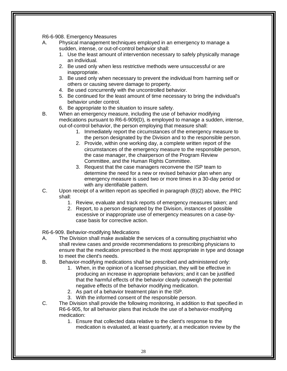R6-6-908. Emergency Measures

- A. Physical management techniques employed in an emergency to manage a sudden, intense, or out-of-control behavior shall:
	- 1. Use the least amount of intervention necessary to safely physically manage an individual.
	- 2. Be used only when less restrictive methods were unsuccessful or are inappropriate.
	- 3. Be used only when necessary to prevent the individual from harming self or others or causing severe damage to property.
	- 4. Be used concurrently with the uncontrolled behavior.
	- 5. Be continued for the least amount of time necessary to bring the individual's behavior under control.
	- 6. Be appropriate to the situation to insure safety.
- B. When an emergency measure, including the use of behavior modifying medications pursuant to R6-6-909(D), is employed to manage a sudden, intense, out-of-control behavior, the person employing that measure shall:
	- 1. Immediately report the circumstances of the emergency measure to the person designated by the Division and to the responsible person.
	- 2. Provide, within one working day, a complete written report of the circumstances of the emergency measure to the responsible person, the case manager, the chairperson of the Program Review Committee, and the Human Rights Committee.
	- 3. Request that the case managers reconvene the ISP team to determine the need for a new or revised behavior plan when any emergency measure is used two or more times in a 30-day period or with any identifiable pattern.
- C. Upon receipt of a written report as specified in paragraph (B)(2) above, the PRC shall:
	- 1. Review, evaluate and track reports of emergency measures taken; and
	- 2. Report, to a person designated by the Division, instances of possible excessive or inappropriate use of emergency measures on a case-bycase basis for corrective action.

R6-6-909. Behavior-modifying Medications

- A. The Division shall make available the services of a consulting psychiatrist who shall review cases and provide recommendations to prescribing physicians to ensure that the medication prescribed is the most appropriate in type and dosage to meet the client's needs.
- B. Behavior-modifying medications shall be prescribed and administered only:
	- 1. When, in the opinion of a licensed physician, they will be effective in producing an increase in appropriate behaviors; and it can be justified that the harmful effects of the behavior clearly outweigh the potential negative effects of the behavior modifying medication.
	- 2. As part of a behavior treatment plan in the ISP.
	- 3. With the informed consent of the responsible person.
- C. The Division shall provide the following monitoring, in addition to that specified in R6-6-905, for all behavior plans that include the use of a behavior-modifying medication:
	- 1. Ensure that collected data relative to the client's response to the medication is evaluated, at least quarterly, at a medication review by the